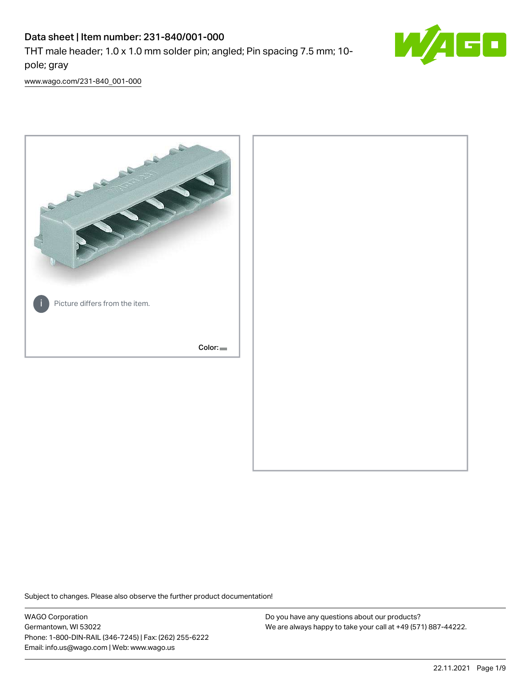# Data sheet | Item number: 231-840/001-000

THT male header; 1.0 x 1.0 mm solder pin; angled; Pin spacing 7.5 mm; 10 pole; gray



[www.wago.com/231-840\\_001-000](http://www.wago.com/231-840_001-000)



Subject to changes. Please also observe the further product documentation!

WAGO Corporation Germantown, WI 53022 Phone: 1-800-DIN-RAIL (346-7245) | Fax: (262) 255-6222 Email: info.us@wago.com | Web: www.wago.us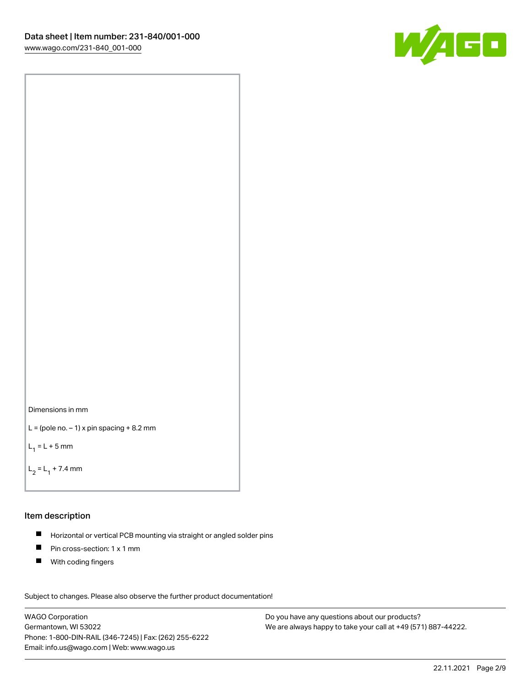



```
L = (pole no. -1) x pin spacing +8.2 mm
```
 $L_1 = L + 5$  mm

```
L_2 = L_1 + 7.4 mm
```
#### Item description

- Horizontal or vertical PCB mounting via straight or angled solder pins  $\blacksquare$
- $\blacksquare$ Pin cross-section: 1 x 1 mm
- $\blacksquare$ With coding fingers

Subject to changes. Please also observe the further product documentation! Data

WAGO Corporation Germantown, WI 53022 Phone: 1-800-DIN-RAIL (346-7245) | Fax: (262) 255-6222 Email: info.us@wago.com | Web: www.wago.us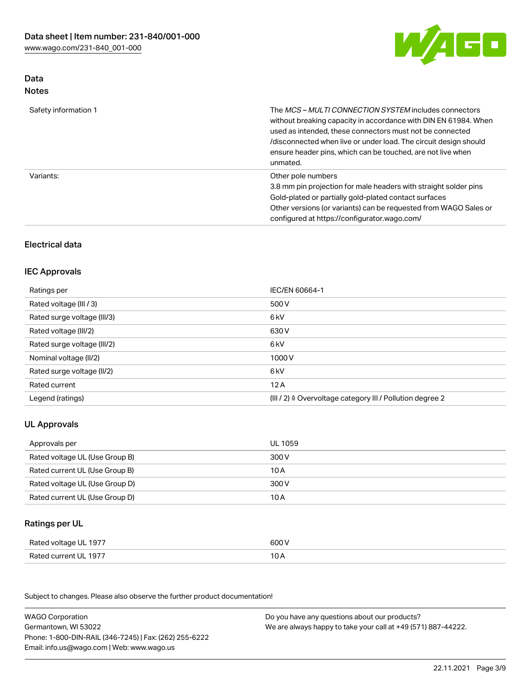

### Data Notes

| Safety information 1 | The <i>MCS – MULTI CONNECTION SYSTEM</i> includes connectors<br>without breaking capacity in accordance with DIN EN 61984. When<br>used as intended, these connectors must not be connected<br>/disconnected when live or under load. The circuit design should<br>ensure header pins, which can be touched, are not live when<br>unmated. |
|----------------------|--------------------------------------------------------------------------------------------------------------------------------------------------------------------------------------------------------------------------------------------------------------------------------------------------------------------------------------------|
| Variants:            | Other pole numbers<br>3.8 mm pin projection for male headers with straight solder pins<br>Gold-plated or partially gold-plated contact surfaces<br>Other versions (or variants) can be requested from WAGO Sales or<br>configured at https://configurator.wago.com/                                                                        |

# Electrical data

## IEC Approvals

| Ratings per                 | IEC/EN 60664-1                                                        |
|-----------------------------|-----------------------------------------------------------------------|
| Rated voltage (III / 3)     | 500 V                                                                 |
| Rated surge voltage (III/3) | 6 <sub>k</sub> V                                                      |
| Rated voltage (III/2)       | 630 V                                                                 |
| Rated surge voltage (III/2) | 6 kV                                                                  |
| Nominal voltage (II/2)      | 1000V                                                                 |
| Rated surge voltage (II/2)  | 6 kV                                                                  |
| Rated current               | 12A                                                                   |
| Legend (ratings)            | $(III / 2)$ $\triangle$ Overvoltage category III / Pollution degree 2 |

# UL Approvals

| Approvals per                  | UL 1059 |
|--------------------------------|---------|
| Rated voltage UL (Use Group B) | 300 V   |
| Rated current UL (Use Group B) | 10 A    |
| Rated voltage UL (Use Group D) | 300 V   |
| Rated current UL (Use Group D) | 10 A    |

### Ratings per UL

| Rated voltage UL 1977 | 600 V |
|-----------------------|-------|
| Rated current UL 1977 |       |

Subject to changes. Please also observe the further product documentation!

| <b>WAGO Corporation</b>                                | Do you have any questions about our products?                 |
|--------------------------------------------------------|---------------------------------------------------------------|
| Germantown, WI 53022                                   | We are always happy to take your call at +49 (571) 887-44222. |
| Phone: 1-800-DIN-RAIL (346-7245)   Fax: (262) 255-6222 |                                                               |
| Email: info.us@wago.com   Web: www.wago.us             |                                                               |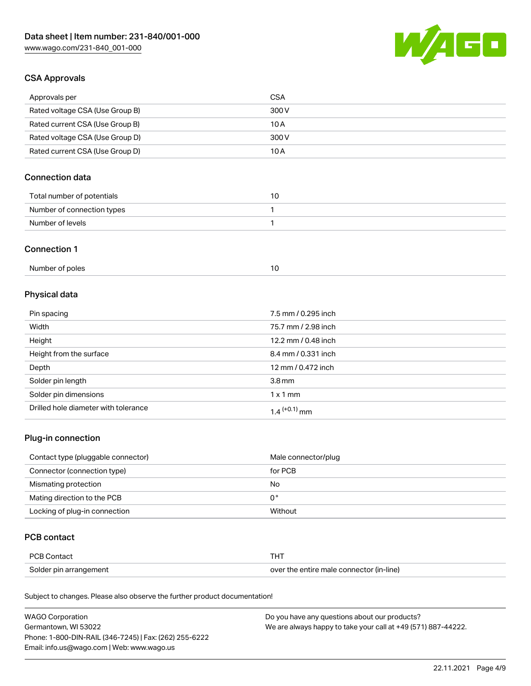

### CSA Approvals

| Approvals per                   | CSA   |
|---------------------------------|-------|
| Rated voltage CSA (Use Group B) | 300 V |
| Rated current CSA (Use Group B) | 10 A  |
| Rated voltage CSA (Use Group D) | 300 V |
| Rated current CSA (Use Group D) | 10 A  |

# Connection data

| Total number of potentials |  |
|----------------------------|--|
| Number of connection types |  |
| Number of levels           |  |

#### Connection 1

# Physical data

| Pin spacing                          | 7.5 mm / 0.295 inch      |
|--------------------------------------|--------------------------|
| Width                                | 75.7 mm / 2.98 inch      |
| Height                               | 12.2 mm / 0.48 inch      |
| Height from the surface              | 8.4 mm / 0.331 inch      |
| Depth                                | 12 mm / 0.472 inch       |
| Solder pin length                    | 3.8 <sub>mm</sub>        |
| Solder pin dimensions                | $1 \times 1$ mm          |
| Drilled hole diameter with tolerance | 1.4 <sup>(+0.1)</sup> mm |

# Plug-in connection

| Contact type (pluggable connector) | Male connector/plug |
|------------------------------------|---------------------|
| Connector (connection type)        | for PCB             |
| Mismating protection               | No                  |
| Mating direction to the PCB        | 0°                  |
| Locking of plug-in connection      | Without             |

### PCB contact

| PCB Contact            | тнт                                      |
|------------------------|------------------------------------------|
| Solder pin arrangement | over the entire male connector (in-line) |

Subject to changes. Please also observe the further product documentation!

| <b>WAGO Corporation</b>                                | Do you have any questions about our products?                 |
|--------------------------------------------------------|---------------------------------------------------------------|
| Germantown, WI 53022                                   | We are always happy to take your call at +49 (571) 887-44222. |
| Phone: 1-800-DIN-RAIL (346-7245)   Fax: (262) 255-6222 |                                                               |
| Email: info.us@wago.com   Web: www.wago.us             |                                                               |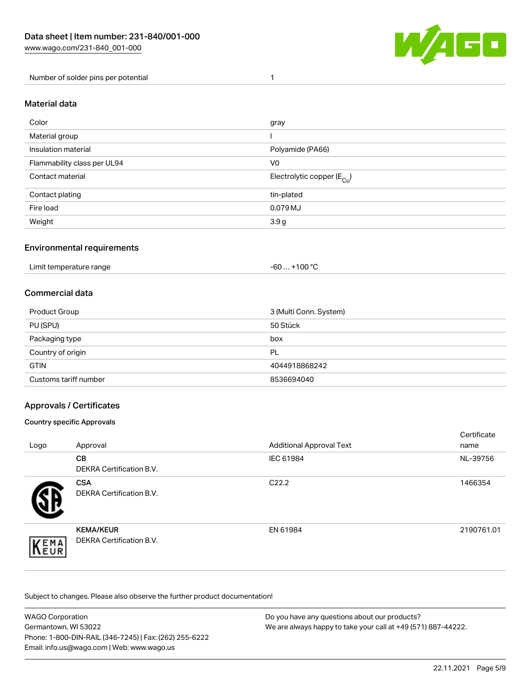

Number of solder pins per potential 1

### Material data

| Color                       | gray                                    |
|-----------------------------|-----------------------------------------|
| Material group              |                                         |
| Insulation material         | Polyamide (PA66)                        |
| Flammability class per UL94 | V <sub>0</sub>                          |
| Contact material            | Electrolytic copper ( $E_{\text{Cu}}$ ) |
| Contact plating             | tin-plated                              |
| Fire load                   | 0.079 MJ                                |
| Weight                      | 3.9 g                                   |

### Environmental requirements

Limit temperature range  $-60... +100$  °C

### Commercial data

| Product Group         | 3 (Multi Conn. System) |
|-----------------------|------------------------|
| PU (SPU)              | 50 Stück               |
| Packaging type        | box                    |
| Country of origin     | PL                     |
| <b>GTIN</b>           | 4044918868242          |
| Customs tariff number | 8536694040             |

### Approvals / Certificates

#### Country specific Approvals

| Logo                | Approval                                            | <b>Additional Approval Text</b> | Certificate<br>name |
|---------------------|-----------------------------------------------------|---------------------------------|---------------------|
|                     | <b>CB</b><br><b>DEKRA Certification B.V.</b>        | IEC 61984                       | NL-39756            |
|                     | <b>CSA</b><br>DEKRA Certification B.V.              | C <sub>22.2</sub>               | 1466354             |
| EMA<br><b>INEUR</b> | <b>KEMA/KEUR</b><br><b>DEKRA Certification B.V.</b> | EN 61984                        | 2190761.01          |

Subject to changes. Please also observe the further product documentation!

| <b>WAGO Corporation</b>                                | Do you have any questions about our products?                 |
|--------------------------------------------------------|---------------------------------------------------------------|
| Germantown, WI 53022                                   | We are always happy to take your call at +49 (571) 887-44222. |
| Phone: 1-800-DIN-RAIL (346-7245)   Fax: (262) 255-6222 |                                                               |
| Email: info.us@wago.com   Web: www.wago.us             |                                                               |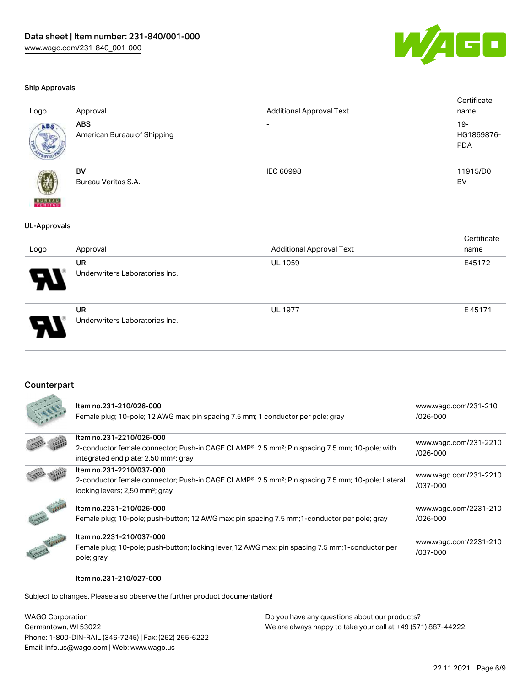

#### Ship Approvals

|                          | $\cdots$                                  | $\cdots$ $\cdots$               | $-1 - 1 - 1$                       |
|--------------------------|-------------------------------------------|---------------------------------|------------------------------------|
| Logo                     | Approval                                  | <b>Additional Approval Text</b> | Certificate<br>name                |
| <b>UL-Approvals</b>      |                                           |                                 |                                    |
| <b>BUREAU</b><br>VERITAS | BV<br>Bureau Veritas S.A.                 | <b>IEC 60998</b>                | 11915/D0<br>BV                     |
| ABS.                     | <b>ABS</b><br>American Bureau of Shipping | $\overline{\phantom{0}}$        | $19 -$<br>HG1869876-<br><b>PDA</b> |
| Logo                     | Approval                                  | <b>Additional Approval Text</b> | Certificate<br>name                |

| Ъ. | UR<br>Underwriters Laboratories Inc.        | <b>UL 1059</b> | E45172 |
|----|---------------------------------------------|----------------|--------|
| J  | <b>UR</b><br>Underwriters Laboratories Inc. | <b>UL 1977</b> | E45171 |

### Counterpart

| Item no.231-210/026-000<br>Female plug; 10-pole; 12 AWG max; pin spacing 7.5 mm; 1 conductor per pole; gray                                         | www.wago.com/231-210<br>$/026 - 000$ |
|-----------------------------------------------------------------------------------------------------------------------------------------------------|--------------------------------------|
| Item no.231-2210/026-000<br>2-conductor female connector; Push-in CAGE CLAMP <sup>®</sup> ; 2.5 mm <sup>2</sup> ; Pin spacing 7.5 mm; 10-pole; with | www.wago.com/231-2210                |
| integrated end plate; 2,50 mm <sup>2</sup> ; gray                                                                                                   | $/026 - 000$                         |
| Item no.231-2210/037-000                                                                                                                            | www.wago.com/231-2210                |
| 2-conductor female connector; Push-in CAGE CLAMP®; 2.5 mm <sup>2</sup> ; Pin spacing 7.5 mm; 10-pole; Lateral                                       | /037-000                             |
| locking levers; 2,50 mm <sup>2</sup> ; gray                                                                                                         |                                      |
| Item no.2231-210/026-000                                                                                                                            | www.wago.com/2231-210                |
| Female plug; 10-pole; push-button; 12 AWG max; pin spacing 7.5 mm; 1-conductor per pole; gray                                                       | $/026 - 000$                         |
| Item no.2231-210/037-000                                                                                                                            |                                      |
| Female plug; 10-pole; push-button; locking lever; 12 AWG max; pin spacing 7.5 mm; 1-conductor per                                                   | www.wago.com/2231-210<br>/037-000    |
| pole; gray                                                                                                                                          |                                      |

#### Item no.231-210/027-000

Subject to changes. Please also observe the further product documentation!

| <b>WAGO Corporation</b>                                |
|--------------------------------------------------------|
| Germantown, WI 53022                                   |
| Phone: 1-800-DIN-RAIL (346-7245)   Fax: (262) 255-6222 |
| Email: info.us@wago.com   Web: www.wago.us             |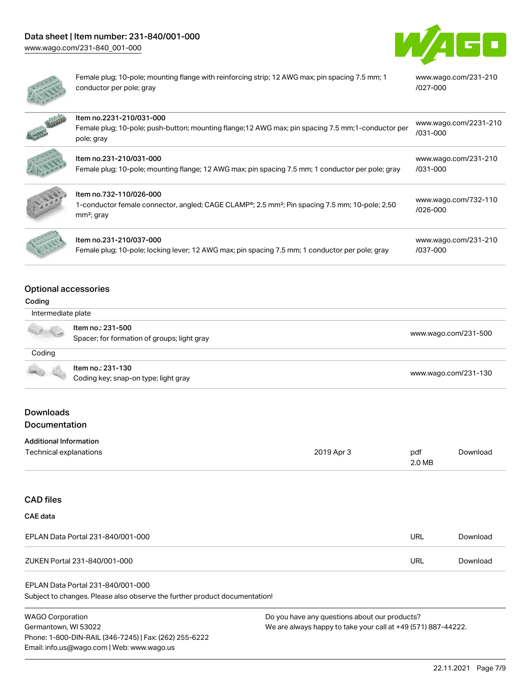



Female plug; 10-pole; mounting flange with reinforcing strip; 12 AWG max; pin spacing 7.5 mm; 1 conductor per pole; gray [www.wago.com/231-210](https://www.wago.com/231-210/027-000) [/027-000](https://www.wago.com/231-210/027-000)

| <b>CANCER</b> | Item no.2231-210/031-000<br>Female plug; 10-pole; push-button; mounting flange; 12 AWG max; pin spacing 7.5 mm; 1-conductor per<br>pole; gray         | www.wago.com/2231-210<br>$/031 - 000$ |
|---------------|-------------------------------------------------------------------------------------------------------------------------------------------------------|---------------------------------------|
|               | Item no.231-210/031-000<br>Female plug; 10-pole; mounting flange; 12 AWG max; pin spacing 7.5 mm; 1 conductor per pole; gray                          | www.wago.com/231-210<br>/031-000      |
|               | Item no.732-110/026-000<br>1-conductor female connector, angled; CAGE CLAMP®; 2.5 mm <sup>2</sup> ; Pin spacing 7.5 mm; 10-pole; 2,50<br>$mm2$ ; gray | www.wago.com/732-110<br>$/026 - 000$  |
|               | Item no.231-210/037-000<br>Female plug; 10-pole; locking lever; 12 AWG max; pin spacing 7.5 mm; 1 conductor per pole; gray                            | www.wago.com/231-210<br>/037-000      |

#### Optional accessories

#### Coding

| Intermediate plate |                                                                  |                      |
|--------------------|------------------------------------------------------------------|----------------------|
| $\sim$ $\sim$      | Item no.: 231-500<br>Spacer; for formation of groups; light gray | www.wago.com/231-500 |
| Coding             |                                                                  |                      |
|                    | Item no.: 231-130<br>Coding key; snap-on type; light gray        | www.wago.com/231-130 |

### Downloads Documentation

| <b>Additional Information</b> |
|-------------------------------|
|                               |

| Technical explanations | 2019 Apr 3 | pdf    | Download |
|------------------------|------------|--------|----------|
|                        |            | 2.0 MB |          |

# CAD files CAE data

| EPLAN Data Portal 231-840/001-000 | URL | Download |
|-----------------------------------|-----|----------|
| ZUKEN Portal 231-840/001-000      | URL | Download |

### EPLAN Data Portal 231-840/001-000

Subject to changes. Please also observe the further product documentation!

WAGO Corporation Germantown, WI 53022 Phone: 1-800-DIN-RAIL (346-7245) | Fax: (262) 255-6222 Email: info.us@wago.com | Web: www.wago.us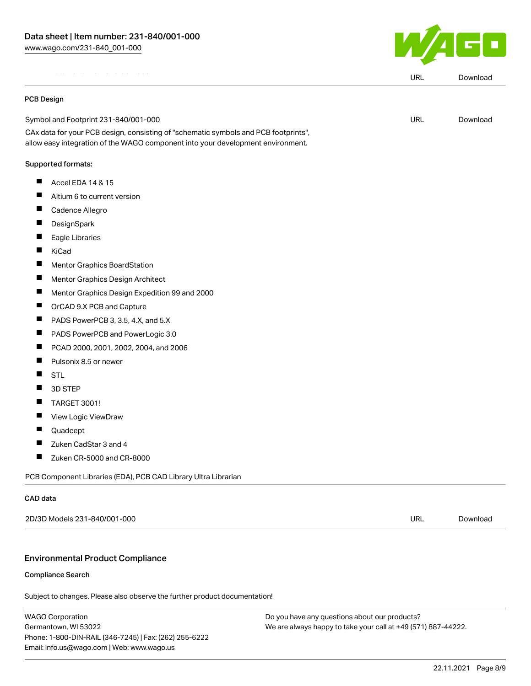EPLAN Data Portal 231-840/001-000

#### PCB Design

Symbol and Footprint 231-840/001-000

CAx data for your PCB design, consisting of "schematic symbols and PCB footprints", allow easy integration of the WAGO component into your development environment.

#### Supported formats:

- $\blacksquare$  Accel EDA 14 & 15
- $\blacksquare$ Altium 6 to current version
- $\blacksquare$ Cadence Allegro
- $\blacksquare$ **DesignSpark**
- $\blacksquare$ Eagle Libraries
- **T** KiCad
- $\blacksquare$ Mentor Graphics BoardStation
- $\blacksquare$ Mentor Graphics Design Architect
- $\blacksquare$ Mentor Graphics Design Expedition 99 and 2000
- $\blacksquare$ OrCAD 9.X PCB and Capture
- П PADS PowerPCB 3, 3.5, 4.X, and 5.X
- П PADS PowerPCB and PowerLogic 3.0
- $\blacksquare$ PCAD 2000, 2001, 2002, 2004, and 2006
- $\blacksquare$ Pulsonix 8.5 or newer
- $\blacksquare$ **STL**
- П 3D STEP
- П TARGET 3001!
- $\blacksquare$ View Logic ViewDraw
- $\blacksquare$ Quadcept
- $\blacksquare$ Zuken CadStar 3 and 4
- П Zuken CR-5000 and CR-8000

PCB Component Libraries (EDA), PCB CAD Library Ultra Librarian

#### CAD data

2D/3D Models 231-840/001-000 URL [Download](https://www.wago.com/global/d/3D_URLS_231-840_001-000)

#### Environmental Product Compliance

#### Compliance Search

Subject to changes. Please also observe the further product documentation!

WAGO Corporation Germantown, WI 53022 Phone: 1-800-DIN-RAIL (346-7245) | Fax: (262) 255-6222 Email: info.us@wago.com | Web: www.wago.us

Do you have any questions about our products? We are always happy to take your call at +49 (571) 887-44222.



URL [Download](https://www.wago.com/global/d/EPLAN_URLS_231-840_001-000)

URL [Download](https://www.wago.com/global/d/UltraLibrarian_URLS_231-840_001-000)